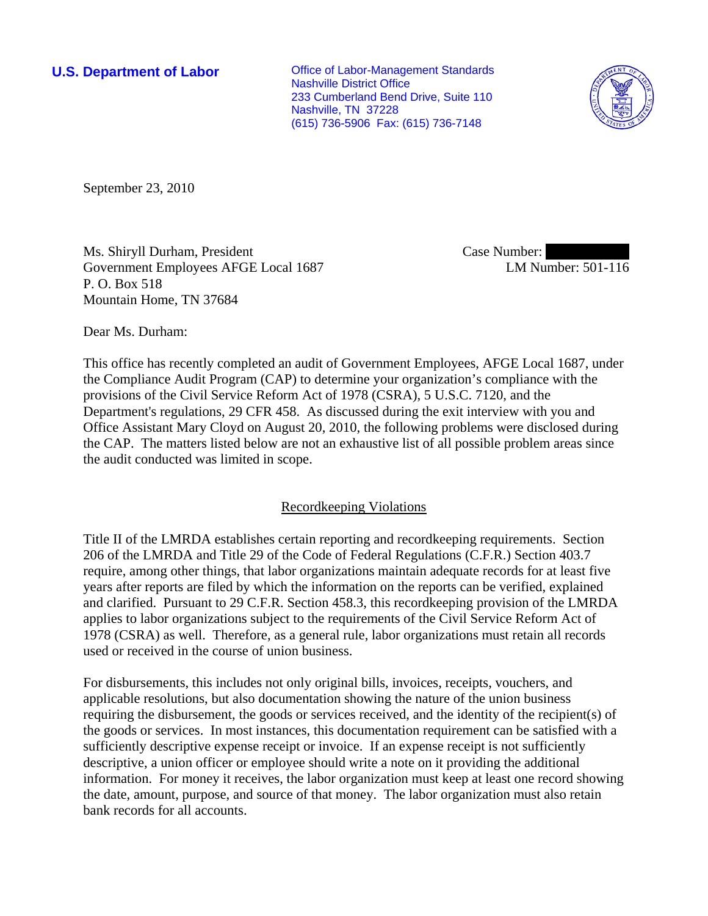**U.S. Department of Labor Conservative Conservative Conservative Conservative Conservative Conservative Conservative Conservative Conservative Conservative Conservative Conservative Conservative Conservative Conservative** Nashville District Office 233 Cumberland Bend Drive, Suite 110 Nashville, TN 37228 (615) 736-5906 Fax: (615) 736-7148



September 23, 2010

Ms. Shiryll Durham, President Government Employees AFGE Local 1687 P. O. Box 518 Mountain Home, TN 37684

Case Number: LM Number: 501-116

Dear Ms. Durham:

This office has recently completed an audit of Government Employees, AFGE Local 1687, under the Compliance Audit Program (CAP) to determine your organization's compliance with the provisions of the Civil Service Reform Act of 1978 (CSRA), 5 U.S.C. 7120, and the Department's regulations, 29 CFR 458. As discussed during the exit interview with you and Office Assistant Mary Cloyd on August 20, 2010, the following problems were disclosed during the CAP. The matters listed below are not an exhaustive list of all possible problem areas since the audit conducted was limited in scope.

# Recordkeeping Violations

Title II of the LMRDA establishes certain reporting and recordkeeping requirements. Section 206 of the LMRDA and Title 29 of the Code of Federal Regulations (C.F.R.) Section 403.7 require, among other things, that labor organizations maintain adequate records for at least five years after reports are filed by which the information on the reports can be verified, explained and clarified. Pursuant to 29 C.F.R. Section 458.3, this recordkeeping provision of the LMRDA applies to labor organizations subject to the requirements of the Civil Service Reform Act of 1978 (CSRA) as well. Therefore, as a general rule, labor organizations must retain all records used or received in the course of union business.

For disbursements, this includes not only original bills, invoices, receipts, vouchers, and applicable resolutions, but also documentation showing the nature of the union business requiring the disbursement, the goods or services received, and the identity of the recipient(s) of the goods or services. In most instances, this documentation requirement can be satisfied with a sufficiently descriptive expense receipt or invoice. If an expense receipt is not sufficiently descriptive, a union officer or employee should write a note on it providing the additional information. For money it receives, the labor organization must keep at least one record showing the date, amount, purpose, and source of that money. The labor organization must also retain bank records for all accounts.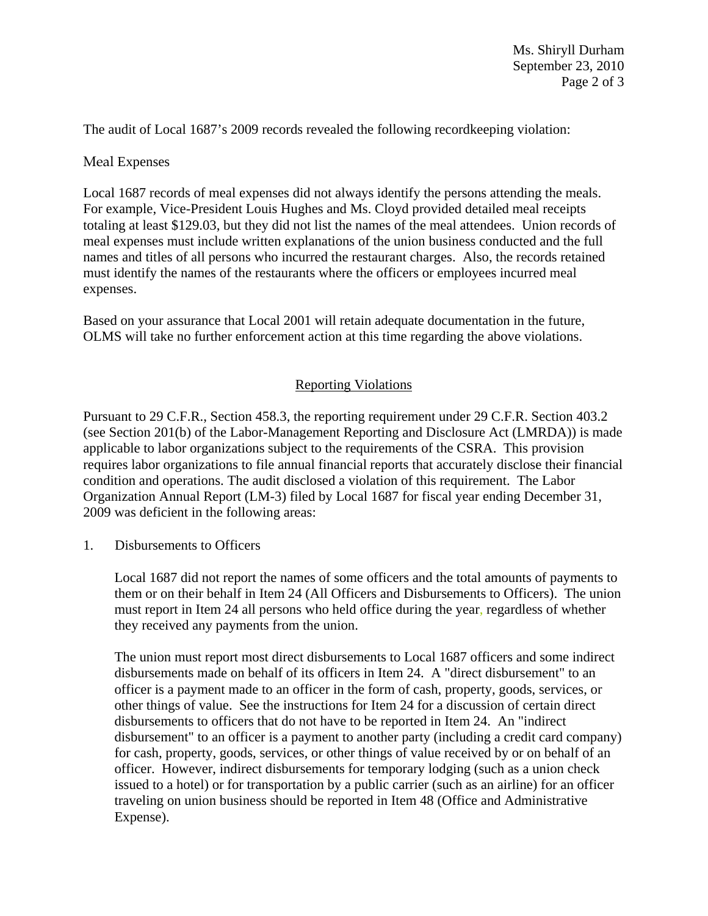The audit of Local 1687's 2009 records revealed the following recordkeeping violation:

## Meal Expenses

Local 1687 records of meal expenses did not always identify the persons attending the meals. For example, Vice-President Louis Hughes and Ms. Cloyd provided detailed meal receipts totaling at least \$129.03, but they did not list the names of the meal attendees. Union records of meal expenses must include written explanations of the union business conducted and the full names and titles of all persons who incurred the restaurant charges. Also, the records retained must identify the names of the restaurants where the officers or employees incurred meal expenses.

Based on your assurance that Local 2001 will retain adequate documentation in the future, OLMS will take no further enforcement action at this time regarding the above violations.

# Reporting Violations

Pursuant to 29 C.F.R., Section 458.3, the reporting requirement under 29 C.F.R. Section 403.2 (see Section 201(b) of the Labor-Management Reporting and Disclosure Act (LMRDA)) is made applicable to labor organizations subject to the requirements of the CSRA. This provision requires labor organizations to file annual financial reports that accurately disclose their financial condition and operations. The audit disclosed a violation of this requirement. The Labor Organization Annual Report (LM-3) filed by Local 1687 for fiscal year ending December 31, 2009 was deficient in the following areas:

1. Disbursements to Officers

Local 1687 did not report the names of some officers and the total amounts of payments to them or on their behalf in Item 24 (All Officers and Disbursements to Officers). The union must report in Item 24 all persons who held office during the year, regardless of whether they received any payments from the union.

The union must report most direct disbursements to Local 1687 officers and some indirect disbursements made on behalf of its officers in Item 24. A "direct disbursement" to an officer is a payment made to an officer in the form of cash, property, goods, services, or other things of value. See the instructions for Item 24 for a discussion of certain direct disbursements to officers that do not have to be reported in Item 24. An "indirect disbursement" to an officer is a payment to another party (including a credit card company) for cash, property, goods, services, or other things of value received by or on behalf of an officer. However, indirect disbursements for temporary lodging (such as a union check issued to a hotel) or for transportation by a public carrier (such as an airline) for an officer traveling on union business should be reported in Item 48 (Office and Administrative Expense).